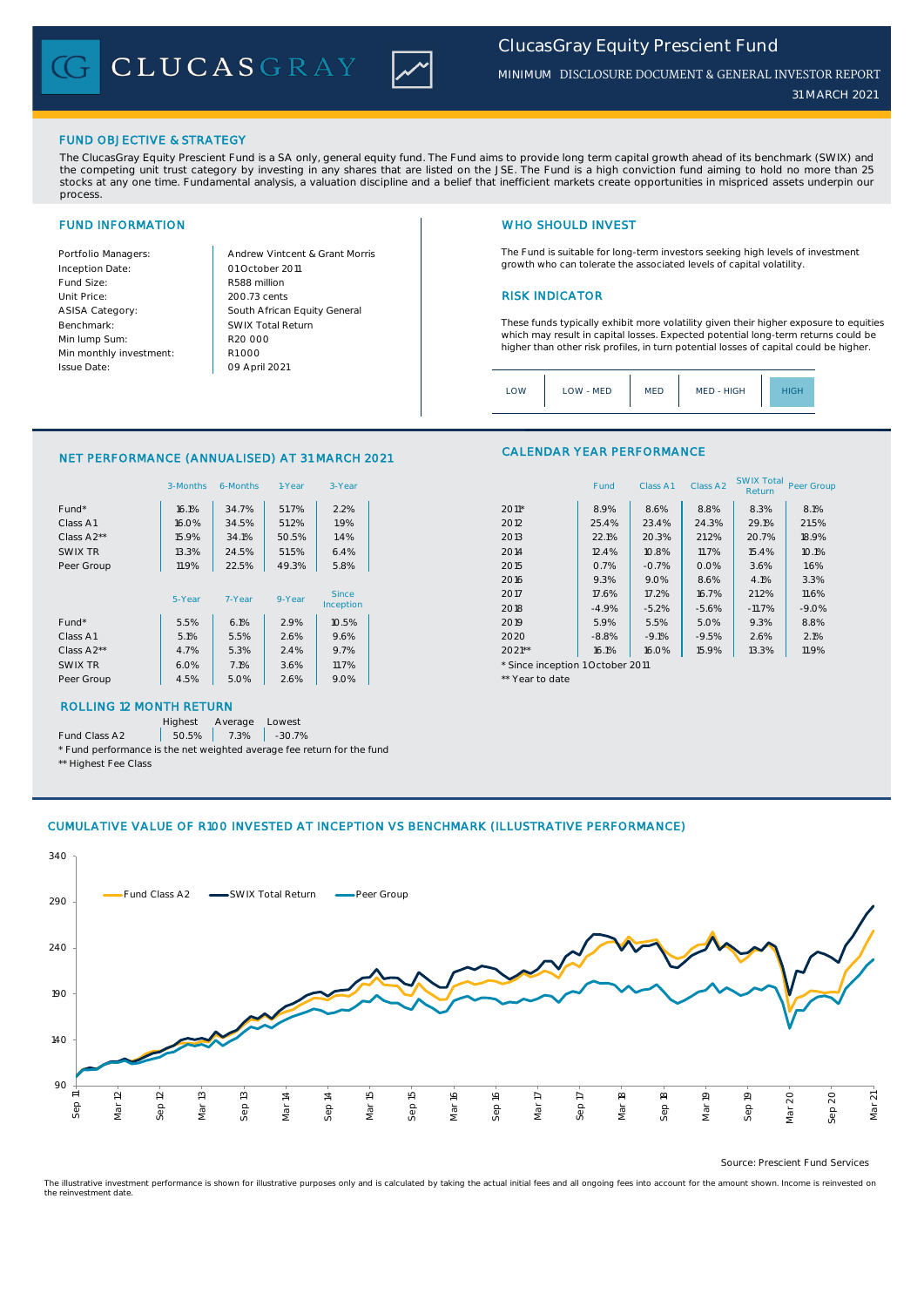CLUCASGRAY



*MINIMUM* DISCLOSURE DOCUMENT & GENERAL INVESTOR REPORT

*31 MARCH 2021*

## FUND OBJECTIVE & STRATEGY

The ClucasGray Equity Prescient Fund is a SA only, general equity fund. The Fund aims to provide long term capital growth ahead of its benchmark (SWIX) and<br>the competing unit trust category by investing in any shares that stocks at any one time. Fundamental analysis, a valuation discipline and a belief that inefficient markets create opportunities in mispriced assets underpin our process.

Inception Date: Fund Size: R588 million ASISA Category: Benchmark: Min lump Sum: Min monthly investment: Issue Date:

Portfolio Managers: <br>Andrew Vintcent & Grant Morris Unit Price: 200.73 cents 200.73 cents South African Equity General 200.73 cents R1 000 01 October 2011 09 April 2021 R20 000 SWIX Total Return

# FUND INFORMATION NETWORK IN THE SERVICE OF THE SERVICE OF THE WHO SHOULD INVEST

The Fund is suitable for long-term investors seeking high levels of investment growth who can tolerate the associated levels of capital volatility.

These funds typically exhibit more volatility given their higher exposure to equities which may result in capital losses. Expected potential long-term returns could be higher than other risk profiles, in turn potential losses of capital could be higher.

Class A1 Class A2 SWIX Total Return Peer Group

| MED - HIGH<br>LOW - MED<br><b>MED</b><br>LOW | HIGH |
|----------------------------------------------|------|
|----------------------------------------------|------|

CALENDAR YEAR PERFORMANCE

### NET PERFORMANCE (ANNUALISED) AT 31 MARCH 2021

|            | 3-Months | 6-Months | 1-Year | 3-Year       |                                  | Fund    | Class A1 | Class A <sub>2</sub> | <b>SWIX Total</b><br>Return | Peer Gro |
|------------|----------|----------|--------|--------------|----------------------------------|---------|----------|----------------------|-----------------------------|----------|
| Fund*      | 16.1%    | 34.7%    | 51.7%  | 2.2%         | $2011*$                          | 8.9%    | 8.6%     | 8.8%                 | 8.3%                        | 8.1%     |
| Class A1   | 16.0%    | 34.5%    | 51.2%  | 1.9%         | 2012                             | 25.4%   | 23.4%    | 24.3%                | 29.1%                       | 21.5%    |
| Class A2** | 15.9%    | 34.1%    | 50.5%  | 1.4%         | 2013                             | 22.1%   | 20.3%    | 21.2%                | 20.7%                       | 18.9%    |
| SWIX TR    | 13.3%    | 24.5%    | 51.5%  | 6.4%         | 2014                             | 12.4%   | 10.8%    | 11.7%                | 15.4%                       | 10.1%    |
| Peer Group | 11.9%    | 22.5%    | 49.3%  | 5.8%         | 2015                             | 0.7%    | $-0.7%$  | 0.0%                 | 3.6%                        | 1.6%     |
|            |          |          |        |              | 2016                             | 9.3%    | 9.0%     | 8.6%                 | 4.1%                        | 3.3%     |
|            | 5-Year   | 7-Year   | 9-Year | <b>Since</b> | 2017                             | 17.6%   | 17.2%    | 16.7%                | 21.2%                       | 11.6%    |
|            |          |          |        | Inception    | 2018                             | $-4.9%$ | $-5.2%$  | $-5.6%$              | $-11.7%$                    | $-9.0%$  |
| Fund*      | 5.5%     | 6.1%     | 2.9%   | 10.5%        | 2019                             | 5.9%    | 5.5%     | 5.0%                 | 9.3%                        | 8.8%     |
| Class A1   | 5.1%     | 5.5%     | 2.6%   | 9.6%         | 2020                             | $-8.8%$ | $-9.1%$  | $-9.5%$              | 2.6%                        | 2.1%     |
| Class A2** | 4.7%     | 5.3%     | 2.4%   | 9.7%         | $2021**$                         | 16.1%   | 16.0%    | 15.9%                | 13.3%                       | 11.9%    |
| SWIX TR    | 6.0%     | 7.1%     | 3.6%   | 11.7%        | * Since inception 1 October 2011 |         |          |                      |                             |          |
| Peer Group | 4.5%     | 5.0%     | 2.6%   | 9.0%         | ** Year to date                  |         |          |                      |                             |          |
|            |          |          |        |              |                                  |         |          |                      |                             |          |

# ROLLING 12 MONTH RETURN

Highest Average Lowest

Fund Class A2  $\begin{array}{|c|c|c|c|c|} \hline \text{50.5\%} & \text{7.3\%} & \text{-30.7\%} \hline \end{array}$ 

\* Fund performance is the net weighted average fee return for the fund \*\* Highest Fee Class

## CUMULATIVE VALUE OF R100 INVESTED AT INCEPTION VS BENCHMARK (ILLUSTRATIVE PERFORMANCE)



Source: Prescient Fund Services

The illustrative investment performance is shown for illustrative purposes only and is calculated by taking the actual initial fees and all ongoing fees into account for the amount shown. Income is reinvested on the reinvestment date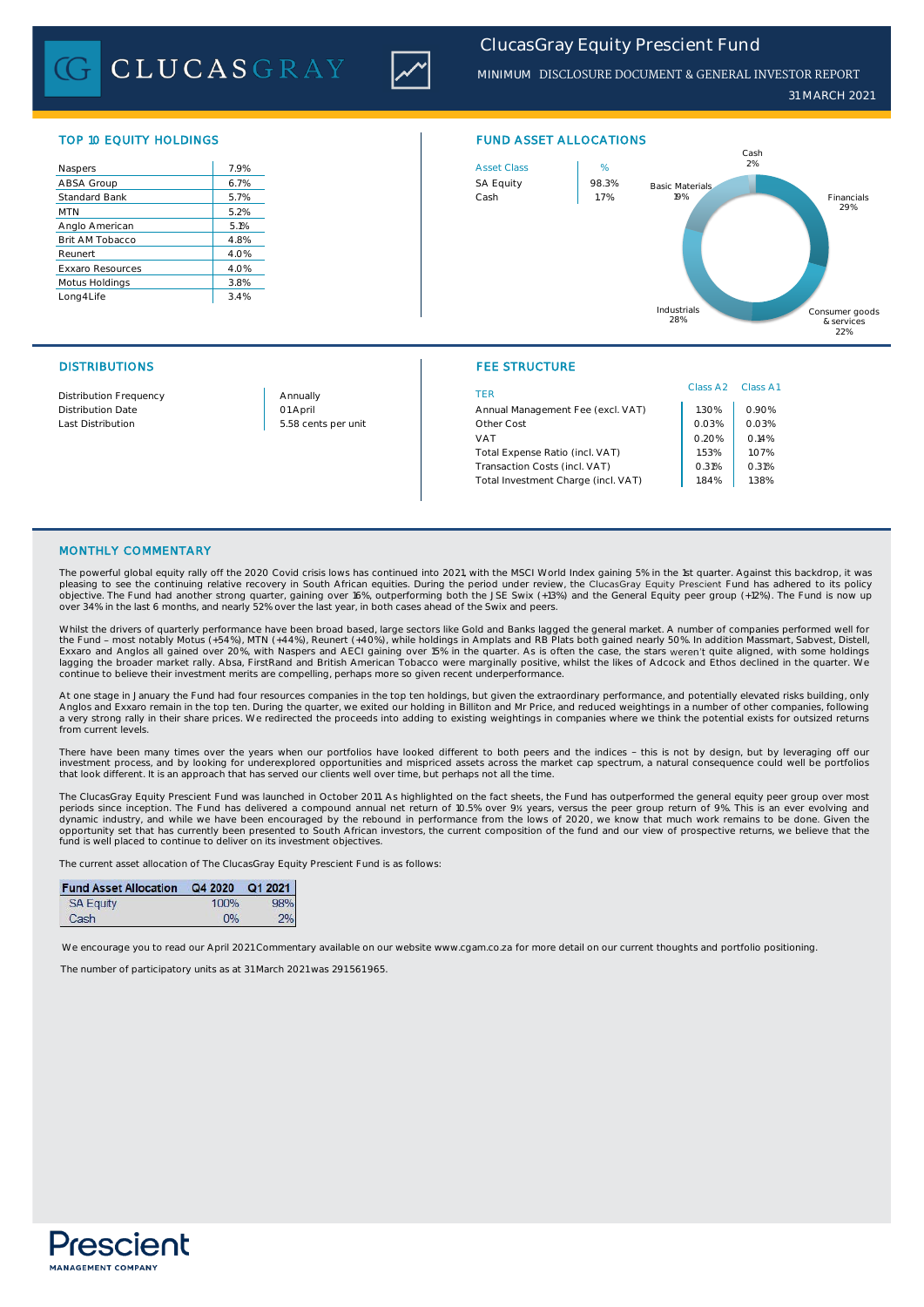**CLUCASGRAY** 



# *ClucasGray Equity Prescient Fund*

*MINIMUM* DISCLOSURE DOCUMENT & GENERAL INVESTOR REPORT

*31 MARCH 2021*

| 7.9% |
|------|
|      |
| 6.7% |
| 5.7% |
| 5.2% |
| 5.1% |
| 4.8% |
| 4.0% |
| 4.0% |
| 3.8% |
| 3.4% |
|      |



## DISTRIBUTIONS FEE STRUCTURE

| <b>Distribution Frequency</b> | Annually            | TER                                 | Class A <sub>2</sub> | Class A1 |
|-------------------------------|---------------------|-------------------------------------|----------------------|----------|
| <b>Distribution Date</b>      | 01 April            | Annual Management Fee (excl. VAT)   | .30%                 | 0.90%    |
| Last Distribution             | 5.58 cents per unit | Other Cost                          | 0.03%                | 0.03%    |
|                               |                     | VAT                                 | 0.20%                | 0.14%    |
|                               |                     | Total Expense Ratio (incl. VAT)     | .53%                 | 1.07%    |
|                               |                     | Transaction Costs (incl. VAT)       | 0.31%                | 0.31%    |
|                               |                     | Total Investment Charge (incl. VAT) | 1.84%                | 1.38%    |
|                               |                     |                                     |                      |          |

# MONTHLY COMMENTARY

The powerful global equity rally off the 2020 Covid crisis lows has continued into 2021, with the MSCI World Index gaining 5% in the 1st quarter. Against this backdrop, it was<br>pleasing to see the continuing relative recove objective. The Fund had another strong quarter, gaining over 16%, outperforming both the JSE Swix (+13%) and the General Equity peer group (+12%). The Fund is now up<br>over 34% in the last 6 months, and nearly 52% over the l

Whilst the drivers of quarterly performance have been broad based, large sectors like Gold and Banks lagged the general market. A number of companies performed well for<br>Ekxaro and Anglos all gained over 20%, with Naspers a continue to believe their investment merits are compelling, perhaps more so given recent underperformance.

At one stage in January the Fund had four resources companies in the top ten holdings, but given the extraordinary performance, and potentially elevated risks building, only Anglos and Exxaro remain in the top ten. During the quarter, we exited our holding in Billiton and Mr Price, and reduced weightings in a number of other companies, following<br>a very strong rally in their share prices. We re from current levels.

There have been many times over the years when our portfolios have looked different to both peers and the indices - this is not by design, but by leveraging off our<br>investment process, and by looking for underexplored oppo that look different. It is an approach that has served our clients well over time, but perhaps not all the time.

The ClucasGray Equity Prescient Fund was launched in October 2011. As highlighted on the fact sheets, the Fund has outperformed the general equity peer group over most<br>periods since inception. The Fund has delivered a comp opportunity set that has currently been presented to South African investors, the current composition of the fund and our view of prospective returns, we believe that the<br>fund is well placed to continue to deliver on its i

The current asset allocation of The ClucasGray Equity Prescient Fund is as follows:

| Fund Asset Allocation Q4 2020 Q1 2021 |      |     |
|---------------------------------------|------|-----|
| <b>SA Equity</b>                      | 100% | 98% |
| Cash                                  | 0%   | 2%  |

We encourage you to read our April 2021 Commentary available on our website www.cgam.co.za for more detail on our current thoughts and portfolio positioning

The number of participatory units as at 31 March 2021 was 291 561 965.